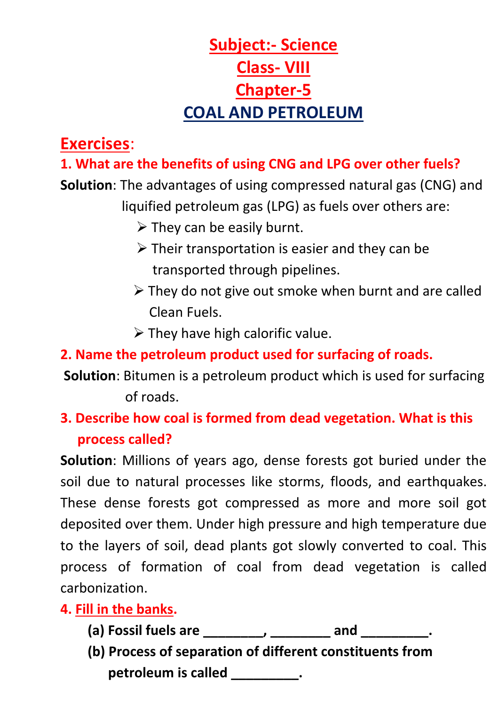# **Subject:- Science Class- VIII Chapter-5 COAL AND PETROLEUM**

# **Exercises**:

## **1. What are the benefits of using CNG and LPG over other fuels?**

**Solution**: The advantages of using compressed natural gas (CNG) and liquified petroleum gas (LPG) as fuels over others are:

- $\triangleright$  They can be easily burnt.
- $\triangleright$  Their transportation is easier and they can be transported through pipelines.
- ➢ They do not give out smoke when burnt and are called Clean Fuels.
- $\triangleright$  They have high calorific value.

# **2. Name the petroleum product used for surfacing of roads.**

**Solution**: Bitumen is a petroleum product which is used for surfacing of roads.

# **3. Describe how coal is formed from dead vegetation. What is this process called?**

**Solution**: Millions of years ago, dense forests got buried under the soil due to natural processes like storms, floods, and earthquakes. These dense forests got compressed as more and more soil got deposited over them. Under high pressure and high temperature due to the layers of soil, dead plants got slowly converted to coal. This process of formation of coal from dead vegetation is called carbonization.

## **4. Fill in the banks.**

- **(a) Fossil fuels are \_\_\_\_\_\_\_\_, \_\_\_\_\_\_\_\_ and \_\_\_\_\_\_\_\_\_.**
- **(b) Process of separation of different constituents from petroleum** is called **called**  $\cdot$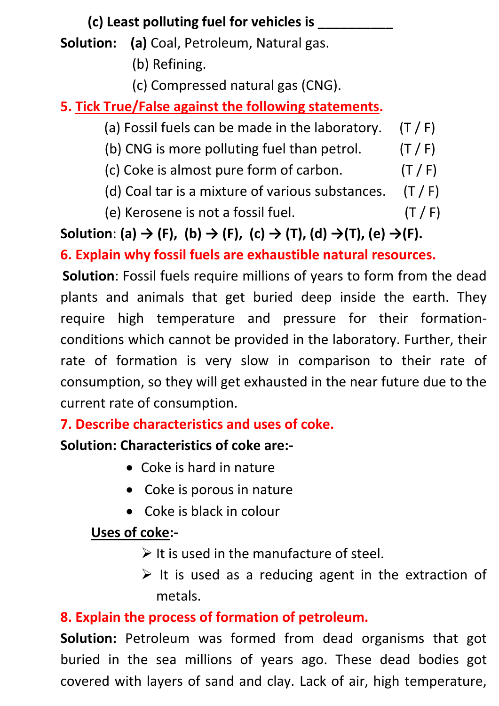# **(c) Least polluting fuel for vehicles is \_\_\_\_\_\_\_\_\_\_**

**Solution: (a)** Coal, Petroleum, Natural gas.

- (b) Refining.
- (c) Compressed natural gas (CNG).

**5. Tick True/False against the following statements.** 

- (a) Fossil fuels can be made in the laboratory.  $(T / F)$
- (b) CNG is more polluting fuel than petrol.  $(T / F)$
- (c) Coke is almost pure form of carbon.  $(T / F)$
- (d) Coal tar is a mixture of various substances.  $(T / F)$
- (e) Kerosene is not a fossil fuel.  $(T / F)$

Solution: (a)  $\rightarrow$  (F), (b)  $\rightarrow$  (F), (c)  $\rightarrow$  (T), (d)  $\rightarrow$  (T), (e)  $\rightarrow$  (F).

**6. Explain why fossil fuels are exhaustible natural resources.**

**Solution**: Fossil fuels require millions of years to form from the dead plants and animals that get buried deep inside the earth. They require high temperature and pressure for their formationconditions which cannot be provided in the laboratory. Further, their rate of formation is very slow in comparison to their rate of consumption, so they will get exhausted in the near future due to the current rate of consumption.

**7. Describe characteristics and uses of coke.**

### **Solution: Characteristics of coke are:-**

- Coke is hard in nature
- Coke is porous in nature
- Coke is black in colour

# **Uses of coke:-**

 $\triangleright$  It is used in the manufacture of steel.

 $\triangleright$  It is used as a reducing agent in the extraction of metals.

### **8. Explain the process of formation of petroleum.**

**Solution:** Petroleum was formed from dead organisms that got buried in the sea millions of years ago. These dead bodies got covered with layers of sand and clay. Lack of air, high temperature,